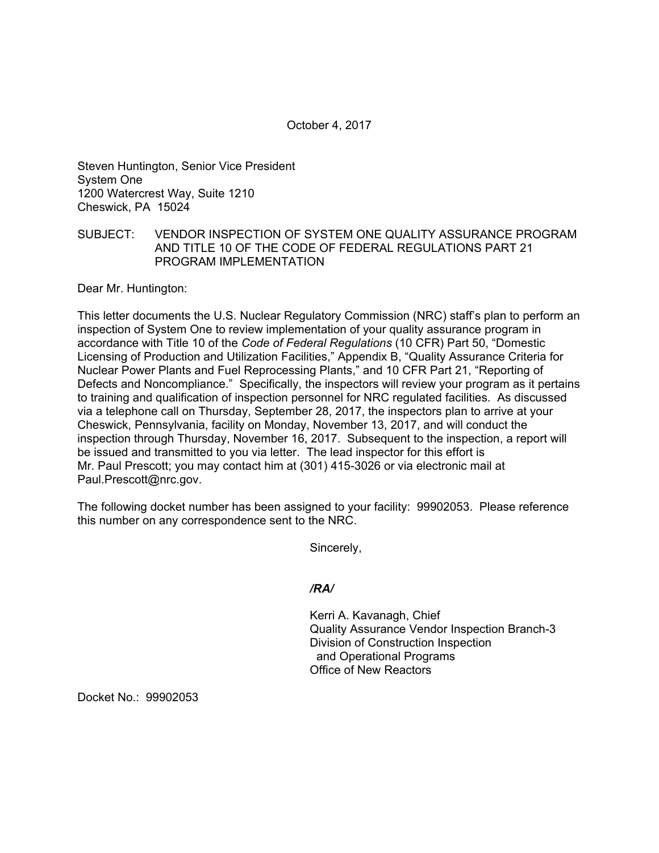October 4, 2017

Steven Huntington, Senior Vice President System One 1200 Watercrest Way, Suite 1210 Cheswick, PA 15024

## SUBJECT: VENDOR INSPECTION OF SYSTEM ONE QUALITY ASSURANCE PROGRAM AND TITLE 10 OF THE CODE OF FEDERAL REGULATIONS PART 21 PROGRAM IMPLEMENTATION

Dear Mr. Huntington:

This letter documents the U.S. Nuclear Regulatory Commission (NRC) staff's plan to perform an inspection of System One to review implementation of your quality assurance program in accordance with Title 10 of the *Code of Federal Regulations* (10 CFR) Part 50, "Domestic Licensing of Production and Utilization Facilities," Appendix B, "Quality Assurance Criteria for Nuclear Power Plants and Fuel Reprocessing Plants," and 10 CFR Part 21, "Reporting of Defects and Noncompliance." Specifically, the inspectors will review your program as it pertains to training and qualification of inspection personnel for NRC regulated facilities. As discussed via a telephone call on Thursday, September 28, 2017, the inspectors plan to arrive at your Cheswick, Pennsylvania, facility on Monday, November 13, 2017, and will conduct the inspection through Thursday, November 16, 2017. Subsequent to the inspection, a report will be issued and transmitted to you via letter. The lead inspector for this effort is Mr. Paul Prescott; you may contact him at (301) 415-3026 or via electronic mail at Paul.Prescott@nrc.gov.

The following docket number has been assigned to your facility: 99902053. Please reference this number on any correspondence sent to the NRC.

Sincerely,

## */RA/*

Kerri A. Kavanagh, Chief Quality Assurance Vendor Inspection Branch-3 Division of Construction Inspection and Operational Programs Office of New Reactors

Docket No.: 99902053